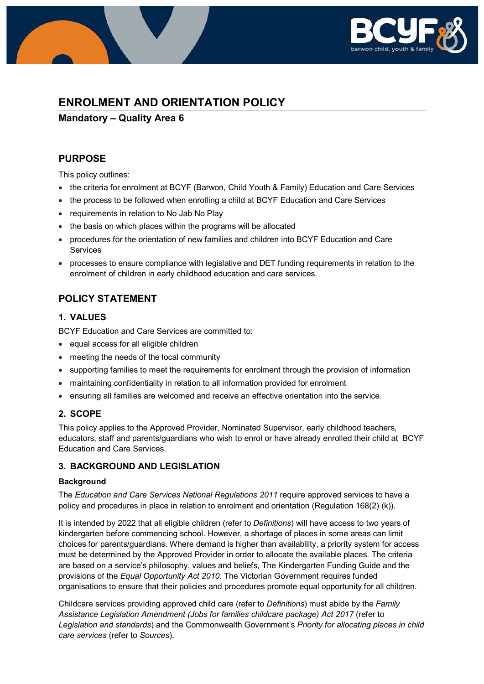

# **ENROLMENT AND ORIENTATION POLICY**

**Mandatory – Quality Area 6**

## **PURPOSE**

This policy outlines:

- the criteria for enrolment at BCYF (Barwon, Child Youth & Family) Education and Care Services
- the process to be followed when enrolling a child at BCYF Education and Care Services
- requirements in relation to No Jab No Play
- the basis on which places within the programs will be allocated
- procedures for the orientation of new families and children into BCYF Education and Care **Services**
- processes to ensure compliance with legislative and DET funding requirements in relation to the enrolment of children in early childhood education and care services.

## **POLICY STATEMENT**

### **1. VALUES**

BCYF Education and Care Services are committed to:

- equal access for all eligible children
- meeting the needs of the local community
- supporting families to meet the requirements for enrolment through the provision of information
- maintaining confidentiality in relation to all information provided for enrolment
- ensuring all families are welcomed and receive an effective orientation into the service.

### **2. SCOPE**

This policy applies to the Approved Provider, Nominated Supervisor, early childhood teachers, educators, staff and parents/guardians who wish to enrol or have already enrolled their child at BCYF Education and Care Services.

### **3. BACKGROUND AND LEGISLATION**

#### **Background**

The *Education and Care Services National Regulations 2011* require approved services to have a policy and procedures in place in relation to enrolment and orientation (Regulation 168(2) (k)).

It is intended by 2022 that all eligible children (refer to *Definitions*) will have access to two years of kindergarten before commencing school. However, a shortage of places in some areas can limit choices for parents/guardians. Where demand is higher than availability, a priority system for access must be determined by the Approved Provider in order to allocate the available places. The criteria are based on a service's philosophy, values and beliefs, The Kindergarten Funding Guide and the provisions of the *Equal Opportunity Act 2010*. The Victorian Government requires funded organisations to ensure that their policies and procedures promote equal opportunity for all children.

Childcare services providing approved child care (refer to *Definitions*) must abide by the *Family Assistance Legislation Amendment (Jobs for families childcare package) Act 2017* (refer to *Legislation and standards*) and the Commonwealth Government's *Priority for allocating places in child care services* (refer to *Sources*).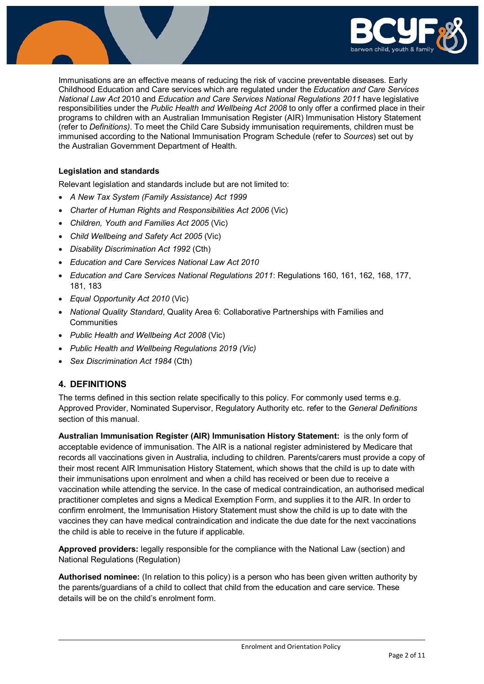

Immunisations are an effective means of reducing the risk of vaccine preventable diseases. Early Childhood Education and Care services which are regulated under the *Education and Care Services National Law Act* 2010 and *Education and Care Services National Regulations 2011* have legislative responsibilities under the *Public Health and Wellbeing Act 2008* to only offer a confirmed place in their programs to children with an Australian Immunisation Register (AIR) Immunisation History Statement (refer to *Definitions)*. To meet the Child Care Subsidy immunisation requirements, children must be immunised according to the National Immunisation Program Schedule (refer to *Sources*) set out by the Australian Government Department of Health.

#### **Legislation and standards**

Relevant legislation and standards include but are not limited to:

- *A New Tax System (Family Assistance) Act 1999*
- *[Charter of Human Rights and Responsibilities Act 2006](http://www.legislation.vic.gov.au/Domino/Web_Notes/LDMS/PubStatbook.nsf/f932b66241ecf1b7ca256e92000e23be/54d73763ef9dca36ca2571b6002428b0!OpenDocument)* (Vic)
- *Children, Youth and Families Act 2005* (Vic)
- *Child Wellbeing and Safety Act 2005* (Vic)
- *Disability Discrimination Act 1992* (Cth)
- *Education and Care Services National Law Act 2010*
- *Education and Care Services National Regulations 2011*: Regulations 160, 161, 162, 168, 177, 181, 183
- *Equal Opportunity Act 2010* (Vic)
- *National Quality Standard*, Quality Area 6: Collaborative Partnerships with Families and **Communities**
- *Public Health and Wellbeing Act 2008* (Vic)
- *Public Health and Wellbeing Regulations 2019 (Vic)*
- *Sex Discrimination Act 1984* (Cth)

### **4. DEFINITIONS**

The terms defined in this section relate specifically to this policy. For commonly used terms e.g. Approved Provider, Nominated Supervisor, Regulatory Authority etc. refer to the *General Definitions* section of this manual.

**Australian Immunisation Register (AIR) Immunisation History Statement:** is the only form of acceptable evidence of immunisation. The AIR is a national register administered by Medicare that records all vaccinations given in Australia, including to children. Parents/carers must provide a copy of their most recent AIR Immunisation History Statement, which shows that the child is up to date with their immunisations upon enrolment and when a child has received or been due to receive a vaccination while attending the service. In the case of medical contraindication, an authorised medical practitioner completes and signs a Medical Exemption Form, and supplies it to the AIR. In order to confirm enrolment, the Immunisation History Statement must show the child is up to date with the vaccines they can have medical contraindication and indicate the due date for the next vaccinations the child is able to receive in the future if applicable.

**Approved providers:** legally responsible for the compliance with the National Law (section) and National Regulations (Regulation)

**Authorised nominee:** (In relation to this policy) is a person who has been given written authority by the parents/guardians of a child to collect that child from the education and care service. These details will be on the child's enrolment form.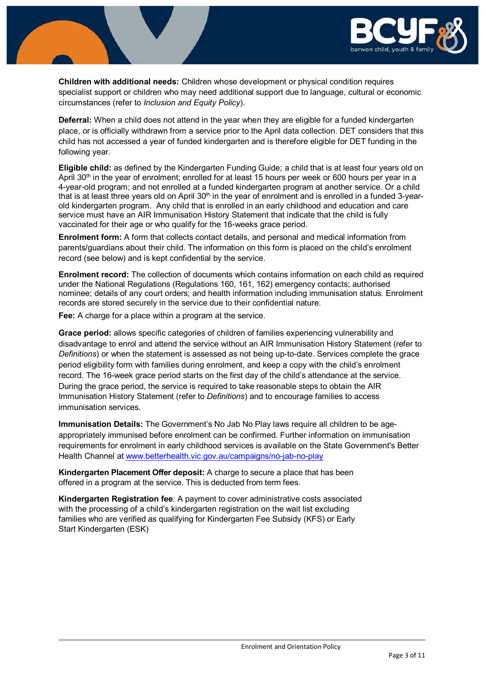

**Children with additional needs:** Children whose development or physical condition requires specialist support or children who may need additional support due to language, cultural or economic circumstances (refer to *Inclusion and Equity Policy*).

**Deferral:** When a child does not attend in the year when they are eligible for a funded kindergarten place, or is officially withdrawn from a service prior to the April data collection. DET considers that this child has not accessed a year of funded kindergarten and is therefore eligible for DET funding in the following year.

**Eligible child:** as defined by the Kindergarten Funding Guide; a child that is at least four years old on April 30<sup>th</sup> in the year of enrolment; enrolled for at least 15 hours per week or 600 hours per year in a 4-year-old program; and not enrolled at a funded kindergarten program at another service. Or a child that is at least three years old on April  $30<sup>th</sup>$  in the year of enrolment and is enrolled in a funded 3-yearold kindergarten program. Any child that is enrolled in an early childhood and education and care service must have an AIR Immunisation History Statement that indicate that the child is fully vaccinated for their age or who qualify for the 16-weeks grace period.

**Enrolment form:** A form that collects contact details, and personal and medical information from parents/guardians about their child. The information on this form is placed on the child's enrolment record (see below) and is kept confidential by the service.

**Enrolment record:** The collection of documents which contains information on each child as required under the National Regulations (Regulations 160, 161, 162) emergency contacts; authorised nominee; details of any court orders; and health information including immunisation status. Enrolment records are stored securely in the service due to their confidential nature.

**Fee:** A charge for a place within a program at the service.

**Grace period:** allows specific categories of children of families experiencing vulnerability and disadvantage to enrol and attend the service without an AIR Immunisation History Statement (refer to *Definitions*) or when the statement is assessed as not being up-to-date. Services complete the grace period eligibility form with families during enrolment, and keep a copy with the child's enrolment record. The 16-week grace period starts on the first day of the child's attendance at the service. During the grace period, the service is required to take reasonable steps to obtain the AIR Immunisation History Statement (refer to *Definitions*) and to encourage families to access immunisation services.

**Immunisation Details:** The Government's No Jab No Play laws require all children to be ageappropriately immunised before enrolment can be confirmed. Further information on immunisation requirements for enrolment in early childhood services is available on the State Government's Better Health Channel at [www.betterhealth.vic.gov.au/campaigns/no-jab-no-play](http://www.betterhealth.vic.gov.au/campaigns/no-jab-no-play)

**Kindergarten Placement Offer deposit:** A charge to secure a place that has been offered in a program at the service. This is deducted from term fees.

**Kindergarten Registration fee**: A payment to cover administrative costs associated with the processing of a child's kindergarten registration on the wait list excluding families who are verified as qualifying for Kindergarten Fee Subsidy (KFS) or Early Start Kindergarten (ESK)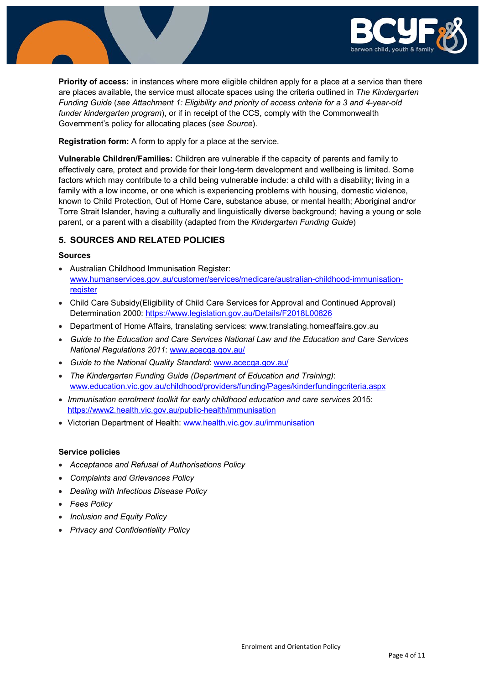

**Priority of access:** in instances where more eligible children apply for a place at a service than there are places available, the service must allocate spaces using the criteria outlined in *The Kindergarten Funding Guide* (*see Attachment 1: Eligibility and priority of access criteria for a 3 and 4-year-old funder kindergarten program*), or if in receipt of the CCS, comply with the Commonwealth Government's policy for allocating places (*see Source*).

**Registration form:** A form to apply for a place at the service.

**Vulnerable Children/Families:** Children are vulnerable if the capacity of parents and family to effectively care, protect and provide for their long-term development and wellbeing is limited. Some factors which may contribute to a child being vulnerable include: a child with a disability; living in a family with a low income, or one which is experiencing problems with housing, domestic violence, known to Child Protection, Out of Home Care, substance abuse, or mental health; Aboriginal and/or Torre Strait Islander, having a culturally and linguistically diverse background; having a young or sole parent, or a parent with a disability (adapted from the *Kindergarten Funding Guide*)

### **5. SOURCES AND RELATED POLICIES**

#### **Sources**

- Australian Childhood Immunisation Register: [www.humanservices.gov.au/customer/services/medicare/australian-childhood-immunisation](http://www.humanservices.gov.au/customer/services/medicare/australian-childhood-immunisation-register)[register](http://www.humanservices.gov.au/customer/services/medicare/australian-childhood-immunisation-register)
- Child Care Subsidy(Eligibility of Child Care Services for Approval and Continued Approval) Determination 2000: <https://www.legislation.gov.au/Details/F2018L00826>
- Department of Home Affairs, translating services: www.translating.homeaffairs.gov.au
- *Guide to the Education and Care Services National Law and the Education and Care Services National Regulations 2011*: [www.acecqa.gov.au/](http://www.acecqa.gov.au/)
- *Guide to the National Quality Standard*: [www.acecqa.gov.au/](http://www.acecqa.gov.au/)
- *The Kindergarten Funding Guide (Department of Education and Training)*: [www.education.vic.gov.au/childhood/providers/funding/Pages/kinderfundingcriteria.aspx](http://www.education.vic.gov.au/childhood/providers/funding/Pages/kinderfundingcriteria.aspx)
- *Immunisation enrolment toolkit for early childhood education and care services* 2015: <https://www2.health.vic.gov.au/public-health/immunisation>
- Victorian Department of Health: [www.health.vic.gov.au/immunisation](http://www.health.vic.gov.au/immunisation)

#### **Service policies**

- *Acceptance and Refusal of Authorisations Policy*
- *Complaints and Grievances Policy*
- *Dealing with Infectious Disease Policy*
- *Fees Policy*
- *Inclusion and Equity Policy*
- *Privacy and Confidentiality Policy*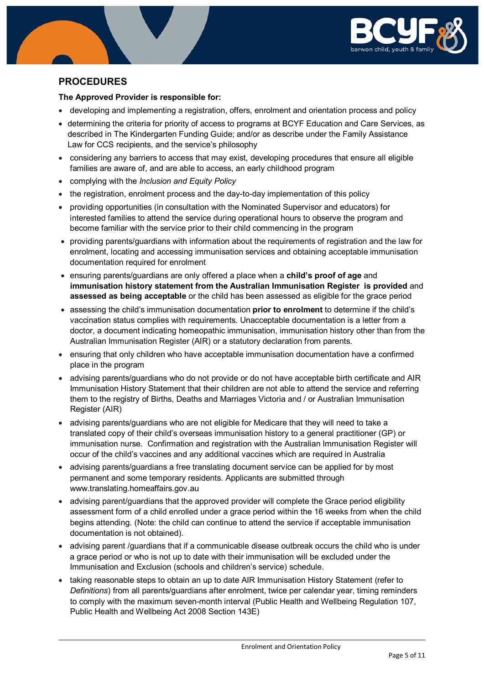

## **PROCEDURES**

#### **The Approved Provider is responsible for:**

- developing and implementing a registration, offers, enrolment and orientation process and policy
- determining the criteria for priority of access to programs at BCYF Education and Care Services, as described in The Kindergarten Funding Guide; and/or as describe under the Family Assistance Law for CCS recipients, and the service's philosophy
- considering any barriers to access that may exist, developing procedures that ensure all eligible families are aware of, and are able to access, an early childhood program
- complying with the *Inclusion and Equity Policy*
- the registration, enrolment process and the day-to-day implementation of this policy
- providing opportunities (in consultation with the Nominated Supervisor and educators) for interested families to attend the service during operational hours to observe the program and become familiar with the service prior to their child commencing in the program
- providing parents/guardians with information about the requirements of registration and the law for enrolment, locating and accessing immunisation services and obtaining acceptable immunisation documentation required for enrolment
- ensuring parents/guardians are only offered a place when a **child's proof of age** and **immunisation history statement from the Australian Immunisation Register is provided** and **assessed as being acceptable** or the child has been assessed as eligible for the grace period
- assessing the child's immunisation documentation **prior to enrolment** to determine if the child's vaccination status complies with requirements. Unacceptable documentation is a letter from a doctor, a document indicating homeopathic immunisation, immunisation history other than from the Australian Immunisation Register (AIR) or a statutory declaration from parents.
- ensuring that only children who have acceptable immunisation documentation have a confirmed place in the program
- advising parents/guardians who do not provide or do not have acceptable birth certificate and AIR Immunisation History Statement that their children are not able to attend the service and referring them to the registry of Births, Deaths and Marriages Victoria and / or Australian Immunisation Register (AIR)
- advising parents/guardians who are not eligible for Medicare that they will need to take a translated copy of their child's overseas immunisation history to a general practitioner (GP) or immunisation nurse. Confirmation and registration with the Australian Immunisation Register will occur of the child's vaccines and any additional vaccines which are required in Australia
- advising parents/guardians a free translating document service can be applied for by most permanent and some temporary residents. Applicants are submitted through www.translating.homeaffairs.gov.au
- advising parent/guardians that the approved provider will complete the Grace period eligibility assessment form of a child enrolled under a grace period within the 16 weeks from when the child begins attending. (Note: the child can continue to attend the service if acceptable immunisation documentation is not obtained).
- advising parent /guardians that if a communicable disease outbreak occurs the child who is under a grace period or who is not up to date with their immunisation will be excluded under the Immunisation and Exclusion (schools and children's service) schedule.
- taking reasonable steps to obtain an up to date AIR Immunisation History Statement (refer to *Definitions*) from all parents/guardians after enrolment, twice per calendar year, timing reminders to comply with the maximum seven-month interval (Public Health and Wellbeing Regulation 107, Public Health and Wellbeing Act 2008 Section 143E)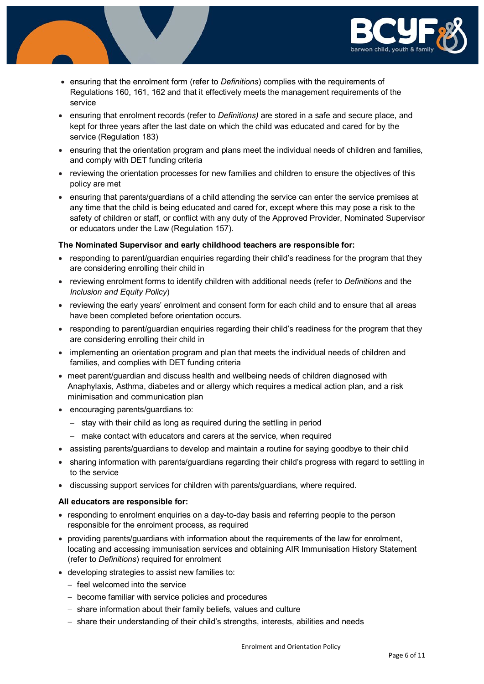

- ensuring that the enrolment form (refer to *Definitions*) complies with the requirements of Regulations 160, 161, 162 and that it effectively meets the management requirements of the service
- ensuring that enrolment records (refer to *Definitions)* are stored in a safe and secure place, and kept for three years after the last date on which the child was educated and cared for by the service (Regulation 183)
- ensuring that the orientation program and plans meet the individual needs of children and families, and comply with DET funding criteria
- reviewing the orientation processes for new families and children to ensure the objectives of this policy are met
- ensuring that parents/guardians of a child attending the service can enter the service premises at any time that the child is being educated and cared for, except where this may pose a risk to the safety of children or staff, or conflict with any duty of the Approved Provider, Nominated Supervisor or educators under the Law (Regulation 157).

#### **The Nominated Supervisor and early childhood teachers are responsible for:**

- responding to parent/guardian enguiries regarding their child's readiness for the program that they are considering enrolling their child in
- reviewing enrolment forms to identify children with additional needs (refer to *Definitions* and the *Inclusion and Equity Policy*)
- reviewing the early years' enrolment and consent form for each child and to ensure that all areas have been completed before orientation occurs.
- responding to parent/guardian enquiries regarding their child's readiness for the program that they are considering enrolling their child in
- implementing an orientation program and plan that meets the individual needs of children and families, and complies with DET funding criteria
- meet parent/guardian and discuss health and wellbeing needs of children diagnosed with Anaphylaxis, Asthma, diabetes and or allergy which requires a medical action plan, and a risk minimisation and communication plan
- encouraging parents/guardians to:
	- − stay with their child as long as required during the settling in period
	- − make contact with educators and carers at the service, when required
- assisting parents/guardians to develop and maintain a routine for saying goodbye to their child
- sharing information with parents/guardians regarding their child's progress with regard to settling in to the service
- discussing support services for children with parents/guardians, where required.

#### **All educators are responsible for:**

- responding to enrolment enquiries on a day-to-day basis and referring people to the person responsible for the enrolment process, as required
- providing parents/guardians with information about the requirements of the law for enrolment, locating and accessing immunisation services and obtaining AIR Immunisation History Statement (refer to *Definitions*) required for enrolment
- developing strategies to assist new families to:
	- − feel welcomed into the service
	- − become familiar with service policies and procedures
	- − share information about their family beliefs, values and culture
	- − share their understanding of their child's strengths, interests, abilities and needs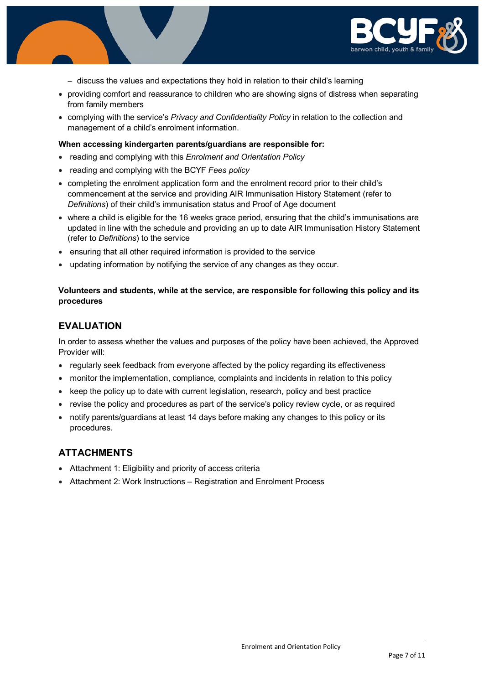

- − discuss the values and expectations they hold in relation to their child's learning
- providing comfort and reassurance to children who are showing signs of distress when separating from family members
- complying with the service's *Privacy and Confidentiality Policy* in relation to the collection and management of a child's enrolment information.

#### **When accessing kindergarten parents/guardians are responsible for:**

- reading and complying with this *Enrolment and Orientation Policy*
- reading and complying with the BCYF *Fees policy*
- completing the enrolment application form and the enrolment record prior to their child's commencement at the service and providing AIR Immunisation History Statement (refer to *Definitions*) of their child's immunisation status and Proof of Age document
- where a child is eligible for the 16 weeks grace period, ensuring that the child's immunisations are updated in line with the schedule and providing an up to date AIR Immunisation History Statement (refer to *Definitions*) to the service
- ensuring that all other required information is provided to the service
- updating information by notifying the service of any changes as they occur.

#### **Volunteers and students, while at the service, are responsible for following this policy and its procedures**

#### **EVALUATION**

In order to assess whether the values and purposes of the policy have been achieved, the Approved Provider will:

- regularly seek feedback from everyone affected by the policy regarding its effectiveness
- monitor the implementation, compliance, complaints and incidents in relation to this policy
- keep the policy up to date with current legislation, research, policy and best practice
- revise the policy and procedures as part of the service's policy review cycle, or as required
- notify parents/guardians at least 14 days before making any changes to this policy or its procedures.

### **ATTACHMENTS**

- Attachment 1: Eligibility and priority of access criteria
- Attachment 2: Work Instructions Registration and Enrolment Process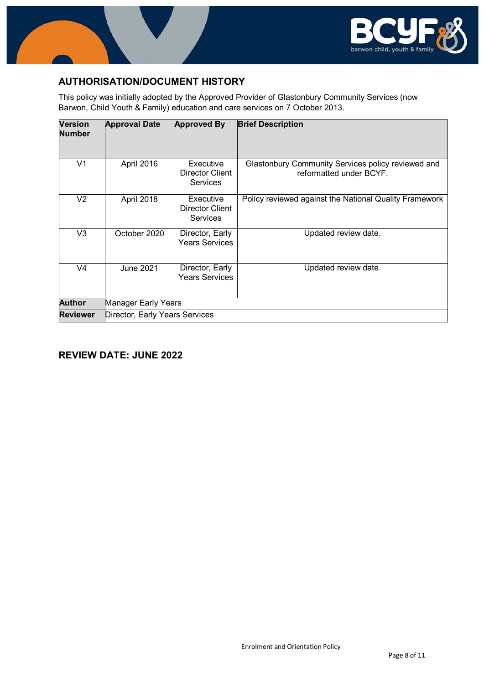

## **AUTHORISATION/DOCUMENT HISTORY**

This policy was initially adopted by the Approved Provider of Glastonbury Community Services (now Barwon, Child Youth & Family) education and care services on 7 October 2013.

| <b>Version</b><br><b>Number</b> | <b>Approval Date</b>           | <b>Approved By</b>                                     | <b>Brief Description</b>                                                      |
|---------------------------------|--------------------------------|--------------------------------------------------------|-------------------------------------------------------------------------------|
| V <sub>1</sub>                  | April 2016                     | Executive<br>Director Client<br><b>Services</b>        | Glastonbury Community Services policy reviewed and<br>reformatted under BCYF. |
| V <sub>2</sub>                  | April 2018                     | Executive<br><b>Director Client</b><br><b>Services</b> | Policy reviewed against the National Quality Framework                        |
| V3                              | October 2020                   | Director, Early<br><b>Years Services</b>               | Updated review date.                                                          |
| V4                              | June 2021                      | Director, Early<br><b>Years Services</b>               | Updated review date.                                                          |
| <b>Author</b>                   | Manager Early Years            |                                                        |                                                                               |
| <b>Reviewer</b>                 | Director, Early Years Services |                                                        |                                                                               |

## **REVIEW DATE: JUNE 2022**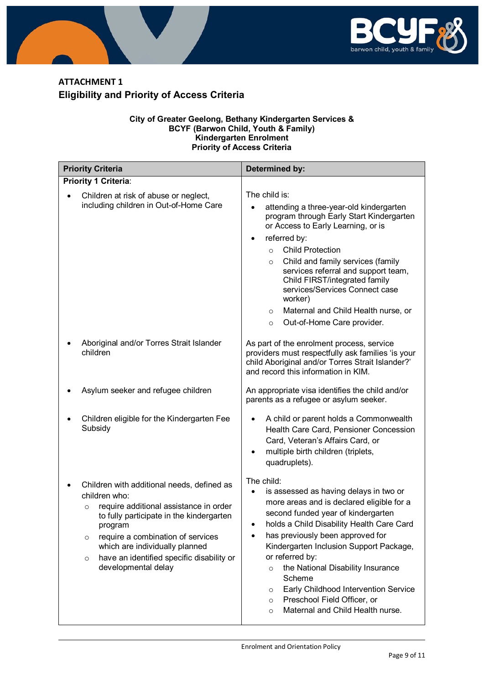

# **ATTACHMENT 1 Eligibility and Priority of Access Criteria**

#### **City of Greater Geelong, Bethany Kindergarten Services & BCYF (Barwon Child, Youth & Family) Kindergarten Enrolment Priority of Access Criteria**

| <b>Priority Criteria</b>                                                                                                                                                                                                                                                                                                                  | Determined by:                                                                                                                                                                                                                                                                                                                                                                                                                                                                                                 |
|-------------------------------------------------------------------------------------------------------------------------------------------------------------------------------------------------------------------------------------------------------------------------------------------------------------------------------------------|----------------------------------------------------------------------------------------------------------------------------------------------------------------------------------------------------------------------------------------------------------------------------------------------------------------------------------------------------------------------------------------------------------------------------------------------------------------------------------------------------------------|
| Priority 1 Criteria:                                                                                                                                                                                                                                                                                                                      |                                                                                                                                                                                                                                                                                                                                                                                                                                                                                                                |
| Children at risk of abuse or neglect,                                                                                                                                                                                                                                                                                                     | The child is:                                                                                                                                                                                                                                                                                                                                                                                                                                                                                                  |
| including children in Out-of-Home Care                                                                                                                                                                                                                                                                                                    | attending a three-year-old kindergarten<br>$\bullet$<br>program through Early Start Kindergarten<br>or Access to Early Learning, or is                                                                                                                                                                                                                                                                                                                                                                         |
|                                                                                                                                                                                                                                                                                                                                           | referred by:<br>$\bullet$                                                                                                                                                                                                                                                                                                                                                                                                                                                                                      |
|                                                                                                                                                                                                                                                                                                                                           | <b>Child Protection</b><br>$\circ$                                                                                                                                                                                                                                                                                                                                                                                                                                                                             |
|                                                                                                                                                                                                                                                                                                                                           | Child and family services (family<br>$\circ$<br>services referral and support team,<br>Child FIRST/integrated family<br>services/Services Connect case<br>worker)                                                                                                                                                                                                                                                                                                                                              |
|                                                                                                                                                                                                                                                                                                                                           | Maternal and Child Health nurse, or<br>$\circ$                                                                                                                                                                                                                                                                                                                                                                                                                                                                 |
|                                                                                                                                                                                                                                                                                                                                           | Out-of-Home Care provider.<br>$\circ$                                                                                                                                                                                                                                                                                                                                                                                                                                                                          |
| Aboriginal and/or Torres Strait Islander<br>children                                                                                                                                                                                                                                                                                      | As part of the enrolment process, service<br>providers must respectfully ask families 'is your<br>child Aboriginal and/or Torres Strait Islander?'<br>and record this information in KIM.                                                                                                                                                                                                                                                                                                                      |
| Asylum seeker and refugee children                                                                                                                                                                                                                                                                                                        | An appropriate visa identifies the child and/or<br>parents as a refugee or asylum seeker.                                                                                                                                                                                                                                                                                                                                                                                                                      |
| Children eligible for the Kindergarten Fee<br>Subsidy                                                                                                                                                                                                                                                                                     | A child or parent holds a Commonwealth<br>$\bullet$<br>Health Care Card, Pensioner Concession<br>Card, Veteran's Affairs Card, or<br>multiple birth children (triplets,<br>$\bullet$<br>quadruplets).                                                                                                                                                                                                                                                                                                          |
| Children with additional needs, defined as<br>children who:<br>require additional assistance in order<br>$\Omega$<br>to fully participate in the kindergarten<br>program<br>require a combination of services<br>$\circ$<br>which are individually planned<br>have an identified specific disability or<br>$\circ$<br>developmental delay | The child:<br>is assessed as having delays in two or<br>$\bullet$<br>more areas and is declared eligible for a<br>second funded year of kindergarten<br>holds a Child Disability Health Care Card<br>has previously been approved for<br>٠<br>Kindergarten Inclusion Support Package,<br>or referred by:<br>the National Disability Insurance<br>$\circ$<br>Scheme<br>Early Childhood Intervention Service<br>$\circ$<br>Preschool Field Officer, or<br>$\circ$<br>Maternal and Child Health nurse.<br>$\circ$ |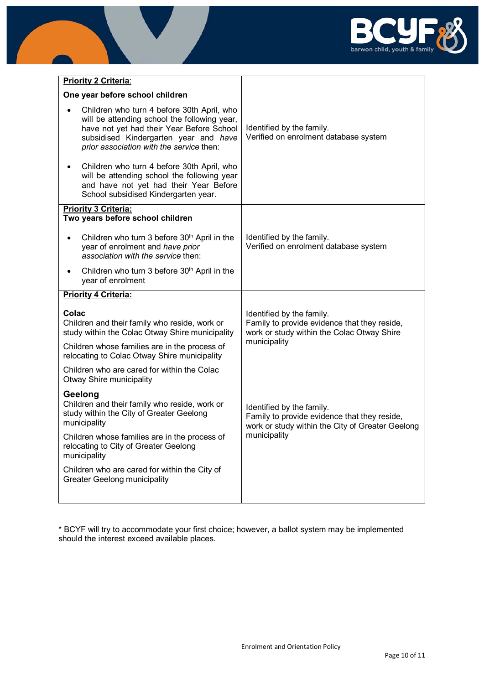

| Priority 2 Criteria:                                                                                                                                                                                                         |                                                                                                                                         |
|------------------------------------------------------------------------------------------------------------------------------------------------------------------------------------------------------------------------------|-----------------------------------------------------------------------------------------------------------------------------------------|
| One year before school children                                                                                                                                                                                              |                                                                                                                                         |
| Children who turn 4 before 30th April, who<br>will be attending school the following year,<br>have not yet had their Year Before School<br>subsidised Kindergarten year and have<br>prior association with the service then: | Identified by the family.<br>Verified on enrolment database system                                                                      |
| Children who turn 4 before 30th April, who<br>٠<br>will be attending school the following year<br>and have not yet had their Year Before<br>School subsidised Kindergarten year.                                             |                                                                                                                                         |
| <b>Priority 3 Criteria:</b><br>Two years before school children                                                                                                                                                              |                                                                                                                                         |
| Children who turn 3 before 30 <sup>th</sup> April in the<br>year of enrolment and have prior<br>association with the service then:                                                                                           | Identified by the family.<br>Verified on enrolment database system                                                                      |
| Children who turn 3 before 30 <sup>th</sup> April in the<br>٠<br>year of enrolment                                                                                                                                           |                                                                                                                                         |
| <b>Priority 4 Criteria:</b>                                                                                                                                                                                                  |                                                                                                                                         |
| Colac<br>Children and their family who reside, work or<br>study within the Colac Otway Shire municipality                                                                                                                    | Identified by the family.<br>Family to provide evidence that they reside,<br>work or study within the Colac Otway Shire<br>municipality |
| Children whose families are in the process of<br>relocating to Colac Otway Shire municipality                                                                                                                                |                                                                                                                                         |
|                                                                                                                                                                                                                              |                                                                                                                                         |
| Children who are cared for within the Colac<br>Otway Shire municipality                                                                                                                                                      |                                                                                                                                         |
| Geelong<br>Children and their family who reside, work or<br>study within the City of Greater Geelong<br>municipality                                                                                                         | Identified by the family.<br>Family to provide evidence that they reside,<br>work or study within the City of Greater Geelong           |
| Children whose families are in the process of<br>relocating to City of Greater Geelong<br>municipality                                                                                                                       | municipality                                                                                                                            |
| Children who are cared for within the City of<br><b>Greater Geelong municipality</b>                                                                                                                                         |                                                                                                                                         |

\* BCYF will try to accommodate your first choice; however, a ballot system may be implemented should the interest exceed available places.